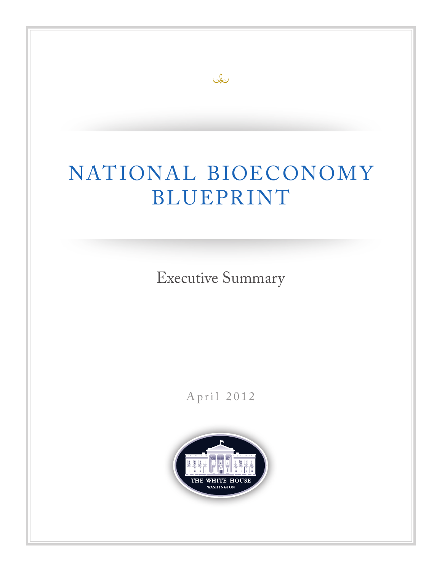# NATIONAL BIOECONOMY BLUEPRINT

 $Q<sub>o</sub>$ 

Executive Summary

April 2012

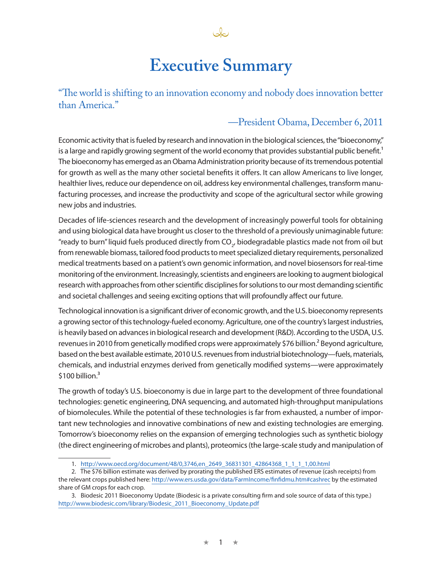

# **Executive Summary**

"The world is shifting to an innovation economy and nobody does innovation better than America."

# —President Obama, December 6, 2011

Economic activity that is fueled by research and innovation in the biological sciences, the "bioeconomy," is a large and rapidly growing segment of the world economy that provides substantial public benefit.<sup>1</sup> The bioeconomy has emerged as an Obama Administration priority because of its tremendous potential for growth as well as the many other societal benefits it offers. It can allow Americans to live longer, healthier lives, reduce our dependence on oil, address key environmental challenges, transform manufacturing processes, and increase the productivity and scope of the agricultural sector while growing new jobs and industries.

Decades of life-sciences research and the development of increasingly powerful tools for obtaining and using biological data have brought us closer to the threshold of a previously unimaginable future: "ready to burn" liquid fuels produced directly from CO<sub>2</sub>, biodegradable plastics made not from oil but from renewable biomass, tailored food products to meet specialized dietary requirements, personalized medical treatments based on a patient's own genomic information, and novel biosensors for real-time monitoring of the environment. Increasingly, scientists and engineers are looking to augment biological research with approaches from other scientific disciplines for solutions to our most demanding scientific and societal challenges and seeing exciting options that will profoundly affect our future.

Technological innovation is a significant driver of economic growth, and the U.S. bioeconomy represents a growing sector of this technology-fueled economy. Agriculture, one of the country's largest industries, is heavily based on advances in biological research and development (R&D). According to the USDA, U.S. revenues in 2010 from genetically modified crops were approximately \$76 billion.<sup>2</sup> Beyond agriculture, based on the best available estimate, 2010 U.S. revenues from industrial biotechnology—fuels, materials, chemicals, and industrial enzymes derived from genetically modified systems—were approximately  $$100$  billion. $3$ 

The growth of today's U.S. bioeconomy is due in large part to the development of three foundational technologies: genetic engineering, DNA sequencing, and automated high-throughput manipulations of biomolecules. While the potential of these technologies is far from exhausted, a number of important new technologies and innovative combinations of new and existing technologies are emerging. Tomorrow's bioeconomy relies on the expansion of emerging technologies such as synthetic biology (the direct engineering of microbes and plants), proteomics (the large-scale study and manipulation of

<sup>1.</sup> [http://www.oecd.org/document/48/0,3746,en\\_2649\\_36831301\\_42864368\\_1\\_1\\_1\\_1,00.html](http://www.oecd.org/document/48/0,3746,en_2649_36831301_42864368_1_1_1_1,00.html)

<sup>2.</sup> The \$76 billion estimate was derived by prorating the published ERS estimates of revenue (cash receipts) from the relevant crops published here:<http://www.ers.usda.gov/data/FarmIncome/finfidmu.htm#cashrec>by the estimated share of GM crops for each crop.

<sup>3.</sup> Biodesic 2011 Bioeconomy Update (Biodesic is a private consulting firm and sole source of data of this type.) [http://www.biodesic.com/library/Biodesic\\_2011\\_Bioeconomy\\_Update.pdf](http://www.biodesic.com/library/Biodesic_2011_Bioeconomy_Update.pdf)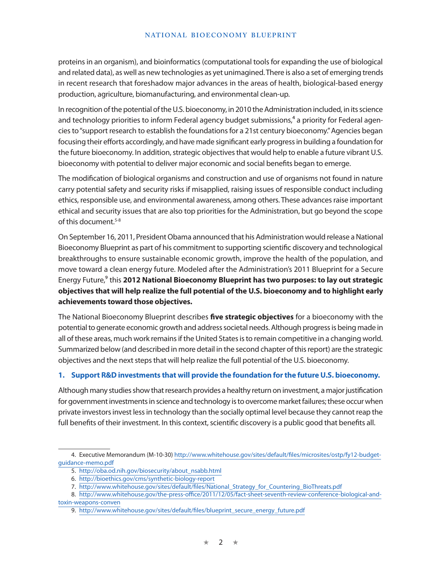#### **National Bioeconomy Blueprint**

proteins in an organism), and bioinformatics (computational tools for expanding the use of biological and related data), as well as new technologies as yet unimagined. There is also a set of emerging trends in recent research that foreshadow major advances in the areas of health, biological-based energy production, agriculture, biomanufacturing, and environmental clean-up.

In recognition of the potential of the U.S. bioeconomy, in 2010 the Administration included, in its science and technology priorities to inform Federal agency budget submissions,<sup>4</sup> a priority for Federal agencies to "support research to establish the foundations for a 21st century bioeconomy." Agencies began focusing their efforts accordingly, and have made significant early progress in building a foundation for the future bioeconomy. In addition, strategic objectives that would help to enable a future vibrant U.S. bioeconomy with potential to deliver major economic and social benefits began to emerge.

The modification of biological organisms and construction and use of organisms not found in nature carry potential safety and security risks if misapplied, raising issues of responsible conduct including ethics, responsible use, and environmental awareness, among others. These advances raise important ethical and security issues that are also top priorities for the Administration, but go beyond the scope of this document. $5-8$ 

On September 16, 2011, President Obama announced that his Administration would release a National Bioeconomy Blueprint as part of his commitment to supporting scientific discovery and technological breakthroughs to ensure sustainable economic growth, improve the health of the population, and move toward a clean energy future. Modeled after the Administration's 2011 Blueprint for a Secure Energy Future,9 this **2012 National Bioeconomy Blueprint has two purposes: to lay out strategic objectives that will help realize the full potential of the U.S. bioeconomy and to highlight early achievements toward those objectives.**

The National Bioeconomy Blueprint describes **five strategic objectives** for a bioeconomy with the potential to generate economic growth and address societal needs. Although progress is being made in all of these areas, much work remains if the United States is to remain competitive in a changing world. Summarized below (and described in more detail in the second chapter of this report) are the strategic objectives and the next steps that will help realize the full potential of the U.S. bioeconomy.

#### **1. Support R&D investments that will provide the foundation for the future U.S. bioeconomy.**

Although many studies show that research provides a healthy return on investment, a major justification for government investments in science and technology is to overcome market failures; these occur when private investors invest less in technology than the socially optimal level because they cannot reap the full benefits of their investment. In this context, scientific discovery is a public good that benefits all.

<sup>4.</sup> Executive Memorandum (M-10-30) [http://www.whitehouse.gov/sites/default/files/microsites/ostp/fy12-budget](http://www.whitehouse.gov/sites/default/files/microsites/ostp/fy12-budget-guidance-memo.pdf)[guidance-memo.pdf](http://www.whitehouse.gov/sites/default/files/microsites/ostp/fy12-budget-guidance-memo.pdf)

<sup>5.</sup> [http://oba.od.nih.gov/biosecurity/about\\_nsabb.html](http://oba.od.nih.gov/biosecurity/about_nsabb.html)

<sup>6.</sup> http://bioethics.gov/cms/synthetic-biology-report

<sup>7.</sup> [http://www.whitehouse.gov/sites/default/files/National\\_Strategy\\_for\\_Countering\\_BioThreats.pdf](http://www.whitehouse.gov/sites/default/files/National_Strategy_for_Countering_BioThreats.pdf)

<sup>8.</sup> [http://www.whitehouse.gov/the-press-office/2011/12/05/fact-sheet-seventh-review-conference-biological-and](http://www.whitehouse.gov/sites/default/files/2011whtnc_report.pdf)[toxin-weapons-conven](http://www.whitehouse.gov/sites/default/files/2011whtnc_report.pdf)

<sup>9.</sup> [http://www.whitehouse.gov/sites/default/files/blueprint\\_secure\\_energy\\_future.pdf](http://www.whitehouse.gov/sites/default/files/blueprint_secure_energy_future.pdf)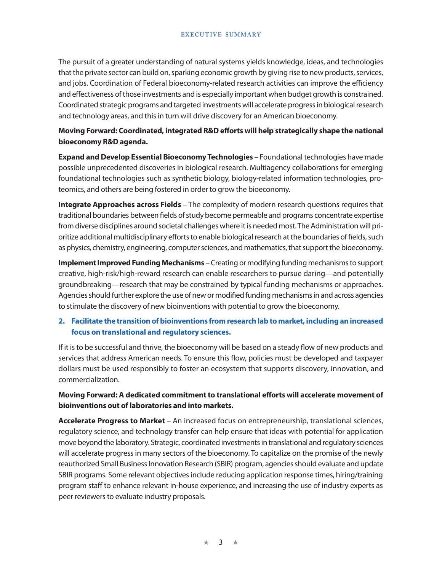#### **Executive Summary**

The pursuit of a greater understanding of natural systems yields knowledge, ideas, and technologies that the private sector can build on, sparking economic growth by giving rise to new products, services, and jobs. Coordination of Federal bioeconomy-related research activities can improve the efficiency and effectiveness of those investments and is especially important when budget growth is constrained. Coordinated strategic programs and targeted investments will accelerate progress in biological research and technology areas, and this in turn will drive discovery for an American bioeconomy.

# **Moving Forward: Coordinated, integrated R&D efforts will help strategically shape the national bioeconomy R&D agenda.**

**Expand and Develop Essential Bioeconomy Technologies** – Foundational technologies have made possible unprecedented discoveries in biological research. Multiagency collaborations for emerging foundational technologies such as synthetic biology, biology-related information technologies, proteomics, and others are being fostered in order to grow the bioeconomy.

**Integrate Approaches across Fields** – The complexity of modern research questions requires that traditional boundaries between fields of study become permeable and programs concentrate expertise from diverse disciplines around societal challenges where it is needed most. The Administration will prioritize additional multidisciplinary efforts to enable biological research at the boundaries of fields, such as physics, chemistry, engineering, computer sciences, and mathematics, that support the bioeconomy.

**Implement Improved Funding Mechanisms** – Creating or modifying funding mechanisms to support creative, high-risk/high-reward research can enable researchers to pursue daring—and potentially groundbreaking—research that may be constrained by typical funding mechanisms or approaches. Agencies should further explore the use of new or modified funding mechanisms in and across agencies to stimulate the discovery of new bioinventions with potential to grow the bioeconomy.

### **2. Facilitate the transition of bioinventions from research lab to market, including an increased focus on translational and regulatory sciences.**

If it is to be successful and thrive, the bioeconomy will be based on a steady flow of new products and services that address American needs. To ensure this flow, policies must be developed and taxpayer dollars must be used responsibly to foster an ecosystem that supports discovery, innovation, and commercialization.

### **Moving Forward: A dedicated commitment to translational efforts will accelerate movement of bioinventions out of laboratories and into markets.**

**Accelerate Progress to Market** – An increased focus on entrepreneurship, translational sciences, regulatory science, and technology transfer can help ensure that ideas with potential for application move beyond the laboratory. Strategic, coordinated investments in translational and regulatory sciences will accelerate progress in many sectors of the bioeconomy. To capitalize on the promise of the newly reauthorized Small Business Innovation Research (SBIR) program, agencies should evaluate and update SBIR programs. Some relevant objectives include reducing application response times, hiring/training program staff to enhance relevant in-house experience, and increasing the use of industry experts as peer reviewers to evaluate industry proposals.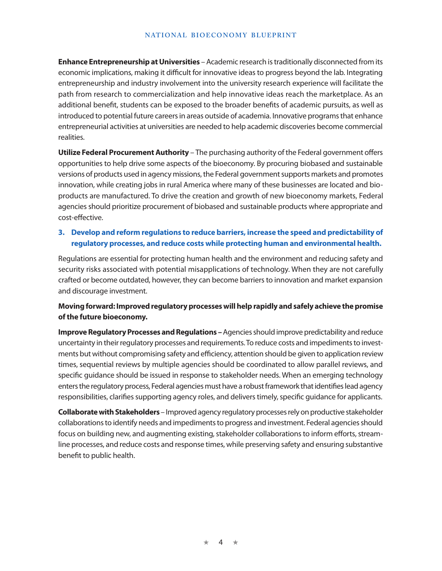#### **National Bioeconomy Blueprint**

**Enhance Entrepreneurship at Universities** – Academic research is traditionally disconnected from its economic implications, making it difficult for innovative ideas to progress beyond the lab. Integrating entrepreneurship and industry involvement into the university research experience will facilitate the path from research to commercialization and help innovative ideas reach the marketplace. As an additional benefit, students can be exposed to the broader benefits of academic pursuits, as well as introduced to potential future careers in areas outside of academia. Innovative programs that enhance entrepreneurial activities at universities are needed to help academic discoveries become commercial realities.

**Utilize Federal Procurement Authority** – The purchasing authority of the Federal government offers opportunities to help drive some aspects of the bioeconomy. By procuring biobased and sustainable versions of products used in agency missions, the Federal government supports markets and promotes innovation, while creating jobs in rural America where many of these businesses are located and bioproducts are manufactured. To drive the creation and growth of new bioeconomy markets, Federal agencies should prioritize procurement of biobased and sustainable products where appropriate and cost-effective.

#### **3. Develop and reform regulations to reduce barriers, increase the speed and predictability of regulatory processes, and reduce costs while protecting human and environmental health.**

Regulations are essential for protecting human health and the environment and reducing safety and security risks associated with potential misapplications of technology. When they are not carefully crafted or become outdated, however, they can become barriers to innovation and market expansion and discourage investment.

### **Moving forward: Improved regulatory processes will help rapidly and safely achieve the promise of the future bioeconomy.**

**Improve Regulatory Processes and Regulations –** Agencies should improve predictability and reduce uncertainty in their regulatory processes and requirements. To reduce costs and impediments to investments but without compromising safety and efficiency, attention should be given to application review times, sequential reviews by multiple agencies should be coordinated to allow parallel reviews, and specific guidance should be issued in response to stakeholder needs. When an emerging technology enters the regulatory process, Federal agencies must have a robust framework that identifies lead agency responsibilities, clarifies supporting agency roles, and delivers timely, specific guidance for applicants.

**Collaborate with Stakeholders** – Improved agency regulatory processes rely on productive stakeholder collaborations to identify needs and impediments to progress and investment. Federal agencies should focus on building new, and augmenting existing, stakeholder collaborations to inform efforts, streamline processes, and reduce costs and response times, while preserving safety and ensuring substantive benefit to public health.

★ 4 ★